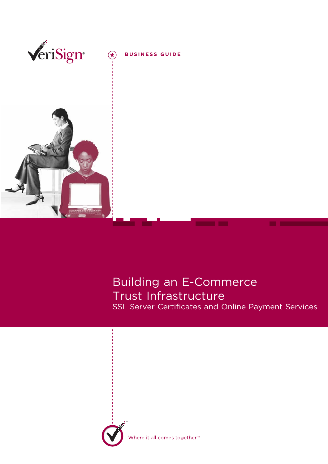

# Building an E-Commerce Trust Infrastructure

SSL Server Certificates and Online Payment Services



Vhere it all comes together.™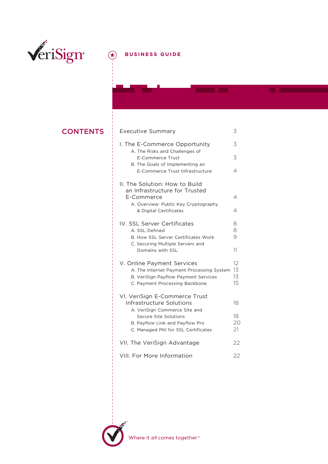

## **BUSINESS GUIDE**

## **CONTENTS**

| <b>Executive Summary</b>                                                                                                                          | 3                    |
|---------------------------------------------------------------------------------------------------------------------------------------------------|----------------------|
| I. The E-Commerce Opportunity<br>A. The Risks and Challenges of                                                                                   | 3                    |
| E-Commerce Trust                                                                                                                                  | 3                    |
| B. The Goals of Implementing an<br>E-Commerce Trust Infrastructure                                                                                | 4                    |
| II. The Solution: How to Build<br>an Infrastructure for Trusted                                                                                   |                      |
| E-Commerce                                                                                                                                        | 4                    |
| A. Overview: Public Key Cryptography<br>& Digital Certificates                                                                                    | 4                    |
| IV. SSL Server Certificates<br>A. SSL Defined<br>B. How SSL Server Certificates Work                                                              | 8<br>8<br>9          |
| C. Securing Multiple Servers and<br>Domains with SSL                                                                                              | 11                   |
| V. Online Payment Services<br>A. The Internet Payment Processing System<br>B. VeriSign Payflow Payment Services<br>C. Payment Processing Backbone | 12<br>13<br>13<br>15 |
| VI. VeriSign E-Commerce Trust<br>Infrastructure Solutions                                                                                         | 18                   |
| A. VeriSign Commerce Site and<br>Secure Site Solutions<br>B. Payflow Link and Payflow Pro<br>C. Managed PKI for SSL Certificates                  | 18<br>20<br>21       |
| VII. The VeriSign Advantage                                                                                                                       | 22                   |
| <b>VIII. For More Information</b>                                                                                                                 | 22                   |

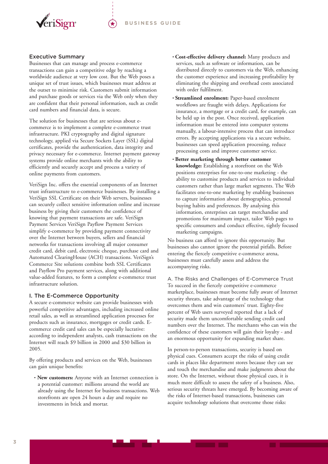

#### Executive Summary

Businesses that can manage and process e-commerce transactions can gain a competitive edge by reaching a worldwide audience at very low cost. But the Web poses a unique set of trust issues, which businesses must address at the outset to minimise risk. Customers submit information and purchase goods or services via the Web only when they are confident that their personal information, such as credit card numbers and financial data, is secure.

The solution for businesses that are serious about ecommerce is to implement a complete e-commerce trust infrastructure. PKI cryptography and digital signature technology, applied via Secure Sockets Layer (SSL) digital certificates, provide the authentication, data integrity and privacy necessary for e-commerce. Internet payment gateway systems provide online merchants with the ability to efficiently and securely accept and process a variety of online payments from customers.

VeriSign Inc. offers the essential components of an Internet trust infrastructure to e-commerce businesses. By installing a VeriSign SSL Certificate on their Web servers, businesses can securely collect sensitive information online and increase business by giving their customers the confidence of knowing that payment transactions are safe. VeriSign Payment Services VeriSign Payflow Payment Services simplify e-commerce by providing payment connectivity over the Internet between buyers, sellers and financial networks for transactions involving all major consumer credit card, debit card, electronic cheque, purchase card and Automated ClearingHouse (ACH) transactions. VeriSign's Commerce Site solutions combine both SSL Certificates and Payflow Pro payment services, along with additional value-added features, to form a complete e-commerce trust infrastructure solution.

#### I. The E-Commerce Opportunity

A secure e-commerce website can provide businesses with powerful competitive advantages, including increased online retail sales, as well as streamlined application processes for products such as insurance, mortgages or credit cards. Ecommerce credit card sales can be especially lucrative: according to independent analysts, cash transactions on the Internet will reach \$9 billion in 2000 and \$30 billion in 2005.

By offering products and services on the Web, businesses can gain unique benefits:

• **New customers:** Anyone with an Internet connection is a potential customer: millions around the world are already using the Internet for business transactions. Web storefronts are open 24 hours a day and require no investments in brick and mortar.

- **Cost-effective delivery channel:** Many products and services, such as software or information, can be distributed directly to customers via the Web, enhancing the customer experience and increasing profitability by eliminating the shipping and overhead costs associated with order fulfilment.
- **Streamlined enrolment:** Paper-based enrolment workflows are fraught with delays. Applications for insurance, a mortgage or a credit card, for example, can be held up in the post. Once received, application information must be entered into computer systems manually, a labour-intensive process that can introduce errors. By accepting applications via a secure website, businesses can speed application processing, reduce processing costs and improve customer service.
- **Better marketing through better customer knowledge:** Establishing a storefront on the Web positions enterprises for one-to-one marketing - the ability to customise products and services to individual customers rather than large market segments. The Web facilitates one-to-one marketing by enabling businesses to capture information about demographics, personal buying habits and preferences. By analysing this information, enterprises can target merchandise and promotions for maximum impact, tailor Web pages to specific consumers and conduct effective, tightly focused marketing campaigns.

No business can afford to ignore this opportunity. But businesses also cannot ignore the potential pitfalls. Before entering the fiercely competitive e-commerce arena, businesses must carefully assess and address the accompanying risks.

A. The Risks and Challenges of E-Commerce Trust To succeed in the fiercely competitive e-commerce marketplace, businesses must become fully aware of Internet security threats, take advantage of the technology that overcomes them and win customers' trust. Eighty-five percent of Web users surveyed reported that a lack of security made them uncomfortable sending credit card numbers over the Internet. The merchants who can win the confidence of these customers will gain their loyalty - and an enormous opportunity for expanding market share.

In person-to-person transactions, security is based on physical cues. Consumers accept the risks of using credit cards in places like department stores because they can see and touch the merchandise and make judgments about the store. On the Internet, without those physical cues, it is much more difficult to assess the safety of a business. Also, serious security threats have emerged. By becoming aware of the risks of Internet-based transactions, businesses can acquire technology solutions that overcome those risks: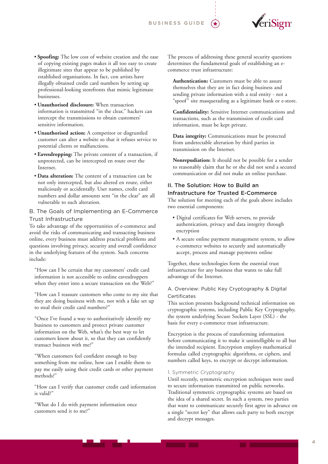

- **Spoofing:** The low cost of website creation and the ease of copying existing pages makes it all too easy to create illegitimate sites that appear to be published by established organisations. In fact, con artists have illegally obtained credit card numbers by setting up professional-looking storefronts that mimic legitimate businesses.
- **Unauthorised disclosure:** When transaction information is transmitted "in the clear," hackers can intercept the transmissions to obtain customers' sensitive information.
- **Unauthorised action:** A competitor or disgruntled customer can alter a website so that it refuses service to potential clients or malfunctions.
- **Eavesdropping:** The private content of a transaction, if unprotected, can be intercepted en route over the Internet.
- **Data alteration:** The content of a transaction can be not only intercepted, but also altered en route, either maliciously or accidentally. User names, credit card numbers and dollar amounts sent "in the clear" are all vulnerable to such alteration.

#### B. The Goals of Implementing an E-Commerce Trust Infrastructure

To take advantage of the opportunities of e-commerce and avoid the risks of communicating and transacting business online, every business must address practical problems and questions involving privacy, security and overall confidence in the underlying features of the system. Such concerns include:

"How can I be certain that my customers' credit card information is not accessible to online eavesdroppers when they enter into a secure transaction on the Web?"

"How can I reassure customers who come to my site that they are doing business with me, not with a fake set up to steal their credit card numbers?"

"Once I've found a way to authoritatively identify my business to customers and protect private customer information on the Web, what's the best way to let customers know about it, so that they can confidently transact business with me?"

"When customers feel confident enough to buy something from me online, how can I enable them to pay me easily using their credit cards or other payment methods?"

"How can I verify that customer credit card information is valid?"

"What do I do with payment information once customers send it to me?"

The process of addressing these general security questions determines the fundamental goals of establishing an ecommerce trust infrastructure:

**Authentication:** Customers must be able to assure themselves that they are in fact doing business and sending private information with a real entity - not a "spoof" site masquerading as a legitimate bank or e-store.

**Confidentiality:** Sensitive Internet communications and transactions, such as the transmission of credit card information, must be kept private.

**Data integrity:** Communications must be protected from undetectable alteration by third parties in transmission on the Internet.

**Nonrepudiation:** It should not be possible for a sender to reasonably claim that he or she did not send a secured communication or did not make an online purchase.

#### II. The Solution: How to Build an Infrastructure for Trusted E-Commerce

The solution for meeting each of the goals above includes two essential components:

- Digital certificates for Web servers, to provide authentication, privacy and data integrity through encryption
- A secure online payment management system, to allow e-commerce websites to securely and automatically accept, process and manage payments online

Together, these technologies form the essential trust infrastructure for any business that wants to take full advantage of the Internet.

#### A. Overview: Public Key Cryptography & Digital Certificates

This section presents background technical information on cryptographic systems, including Public Key Cryptography, the system underlying Secure Sockets Layer (SSL) - the basis for every e-commerce trust infrastructure.

Encryption is the process of transforming information before communicating it to make it unintelligible to all but the intended recipient. Encryption employs mathematical formulas called cryptographic algorithms, or ciphers, and numbers called keys, to encrypt or decrypt information.

#### 1. Symmetric Cryptography

Until recently, symmetric encryption techniques were used to secure information transmitted on public networks. Traditional symmetric cryptographic systems are based on the idea of a shared secret. In such a system, two parties that want to communicate securely first agree in advance on a single "secret key" that allows each party to both encrypt and decrypt messages.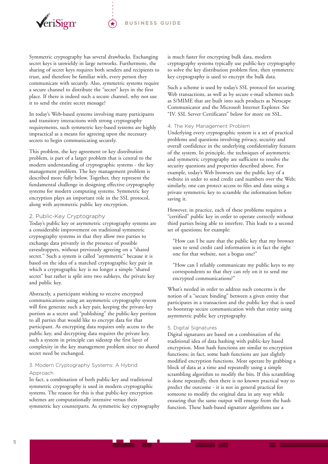



Symmetric cryptography has several drawbacks. Exchanging secret keys is unwieldy in large networks. Furthermore, the sharing of secret keys requires both senders and recipients to trust, and therefore be familiar with, every person they communicate with securely. Also, symmetric systems require a secure channel to distribute the "secret" keys in the first place. If there is indeed such a secure channel, why not use it to send the entire secret message?

In today's Web-based systems involving many participants and transitory interactions with strong cryptography requirements, such symmetric key-based systems are highly impractical as a means for agreeing upon the necessary secrets to begin communicating securely.

This problem, the key agreement or key distribution problem, is part of a larger problem that is central to the modern understanding of cryptographic systems - the key management problem. The key management problem is described more fully below. Together, they represent the fundamental challenge in designing effective cryptography systems for modern computing systems. Symmetric key encryption plays an important role in the SSL protocol, along with asymmetric public key encryption.

#### 2. Public-Key Cryptography

Today's public key or asymmetric cryptography systems are a considerable improvement on traditional symmetric cryptography systems in that they allow two parties to exchange data privately in the presence of possible eavesdroppers, without previously agreeing on a "shared secret." Such a system is called "asymmetric" because it is based on the idea of a matched cryptographic key pair in which a cryptographic key is no longer a simple "shared secret" but rather is split into two subkeys, the private key and public key.

Abstractly, a participant wishing to receive encrypted communications using an asymmetric cryptography system will first generate such a key pair, keeping the private-key portion as a secret and "publishing" the public-key portion to all parties that would like to encrypt data for that participant. As encrypting data requires only access to the public key, and decrypting data requires the private key, such a system in principle can sidestep the first layer of complexity in the key management problem since no shared secret need be exchanged.

#### 3. Modern Cryptography Systems: A Hybrid Approach

In fact, a combination of both public-key and traditional symmetric cryptography is used in modern cryptographic systems. The reason for this is that public-key encryption schemes are computationally intensive versus their symmetric key counterparts. As symmetric key cryptography is much faster for encrypting bulk data, modern cryptography systems typically use public-key cryptography to solve the key distribution problem first, then symmetric key cryptography is used to encrypt the bulk data.

Such a scheme is used by today's SSL protocol for securing Web transactions, as well as by secure e-mail schemes such as S/MIME that are built into such products as Netscape Communicator and the Microsoft Internet Explorer. See "IV. SSL Server Certificates" below for more on SSL.

#### 4. The Key Management Problem

Underlying every cryptographic system is a set of practical problems and questions involving privacy, security and overall confidence in the underlying confidentiality features of the system. In principle, the techniques of asymmetric and symmetric cryptography are sufficient to resolve the security questions and properties described above. For example, today's Web browsers use the public key of a website in order to send credit card numbers over the Web; similarly, one can protect access to files and data using a private symmetric key to scramble the information before saving it.

However, in practice, each of these problems requires a "certified" public key in order to operate correctly without third parties being able to interfere. This leads to a second set of questions; for example:

"How can I be sure that the public key that my browser uses to send credit card information is in fact the right one for that website, not a bogus one?"

"How can I reliably communicate my public keys to my correspondents so that they can rely on it to send me encrypted communications?"

What's needed in order to address such concerns is the notion of a "secure binding" between a given entity that participates in a transaction and the public key that is used to bootstrap secure communication with that entity using asymmetric public key cryptography.

#### 5. Digital Signatures

Digital signatures are based on a combination of the traditional idea of data hashing with public-key based encryption. Most hash functions are similar to encryption functions; in fact, some hash functions are just slightly modified encryption functions. Most operate by grabbing a block of data at a time and repeatedly using a simple scrambling algorithm to modify the bits. If this scrambling is done repeatedly, then there is no known practical way to predict the outcome - it is not in general practical for someone to modify the original data in any way while ensuring that the same output will emerge from the hash function. These hash-based signature algorithms use a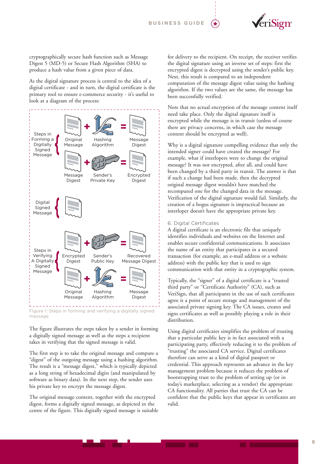

cryptographically secure hash function such as Message Digest 5 (MD-5) or Secure Hash Algorithm (SHA) to produce a hash value from a given piece of data.

As the digital signature process is central to the idea of a digital certificate - and in turn, the digital certificate is the primary tool to ensure e-commerce security - it's useful to look at a diagram of the process:



Figure 1: Steps in forming and verifying a digitally signed message

The figure illustrates the steps taken by a sender in forming a digitally signed message as well as the steps a recipient takes in verifying that the signed message is valid.

The first step is to take the original message and compute a "digest" of the outgoing message using a hashing algorithm. The result is a "message digest," which is typically depicted as a long string of hexadecimal digits (and manipulated by software as binary data). In the next step, the sender uses his private key to encrypt the message digest.

The original message content, together with the encrypted digest, forms a digitally signed message, as depicted in the centre of the figure. This digitally signed message is suitable for delivery to the recipient. On receipt, the receiver verifies the digital signature using an inverse set of steps: first the encrypted digest is decrypted using the sender's public key. Next, this result is compared to an independent computation of the message digest value using the hashing algorithm. If the two values are the same, the message has been successfully verified.

Note that no actual encryption of the message content itself need take place. Only the digital signature itself is encrypted while the message is in transit (unless of course there are privacy concerns, in which case the message content should be encrypted as well).

Why is a digital signature compelling evidence that only the intended signer could have created the message? For example, what if interlopers were to change the original message? It was not encrypted, after all, and could have been changed by a third party in transit. The answer is that if such a change had been made, then the decrypted original message digest wouldn't have matched the recomputed one for the changed data in the message. Verification of the digital signature would fail. Similarly, the creation of a bogus signature is impractical because an interloper doesn't have the appropriate private key.

#### 6. Digital Certificates

A digital certificate is an electronic file that uniquely identifies individuals and websites on the Internet and enables secure confidential communications. It associates the name of an entity that participates in a secured transaction (for example, an e-mail address or a website address) with the public key that is used to sign communication with that entity in a cryptographic system.

Typically, the "signer" of a digital certificate is a "trusted third party" or "Certificate Authority" (CA), such as VeriSign, that all participants in the use of such certificates agree is a point of secure storage and management of the associated private signing key. The CA issues, creates and signs certificates as well as possibly playing a role in their distribution.

Using digital certificates simplifies the problem of trusting that a particular public key is in fact associated with a participating party, effectively reducing it to the problem of "trusting" the associated CA service. Digital certificates therefore can serve as a kind of digital passport or credential. This approach represents an advance in the key management problem because it reduces the problem of bootstrapping trust to the problem of setting up (or in today's marketplace, selecting as a vendor) the appropriate CA functionality. All parties that trust the CA can be confident that the public keys that appear in certificates are valid.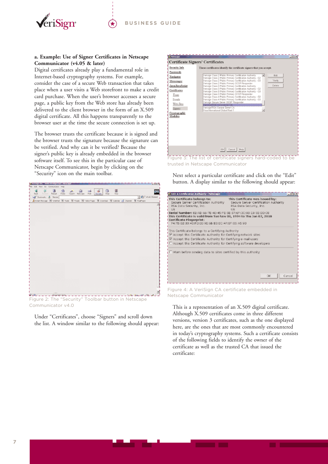

#### **a. Example: Use of Signer Certificates in Netscape Communicator (v4.05 & later)**

Digital certificates already play a fundamental role in Internet-based cryptography systems. For example, consider the case of a secure Web transaction that takes place when a user visits a Web storefront to make a credit card purchase. When the user's browser accesses a secure page, a public key from the Web store has already been delivered to the client browser in the form of an X.509 digital certificate. All this happens transparently to the browser user at the time the secure connection is set up.

The browser trusts the certificate because it is signed and the browser trusts the signature because the signature can be verified. And why can it be verified? Because the signer's public key is already embedded in the browser software itself. To see this in the particular case of Netscape Communicator, begin by clicking on the "Security" icon on the main toolbar.



Communicator v4.0

Under "Certificates", choose "Signers" and scroll down the list. A window similar to the following should appear:

| <b><i>C Netscape</i></b>                                                                                                                                             |                                                                                                                                                                                                                                                                                                                                                                                                                                                                                                                                                                                                                                                                                                                                                                                                                                                                                                                 | $\Box$ DIX |  |  |  |  |  |
|----------------------------------------------------------------------------------------------------------------------------------------------------------------------|-----------------------------------------------------------------------------------------------------------------------------------------------------------------------------------------------------------------------------------------------------------------------------------------------------------------------------------------------------------------------------------------------------------------------------------------------------------------------------------------------------------------------------------------------------------------------------------------------------------------------------------------------------------------------------------------------------------------------------------------------------------------------------------------------------------------------------------------------------------------------------------------------------------------|------------|--|--|--|--|--|
| Certificate Signers' Certificates                                                                                                                                    |                                                                                                                                                                                                                                                                                                                                                                                                                                                                                                                                                                                                                                                                                                                                                                                                                                                                                                                 |            |  |  |  |  |  |
| <b>Security Info</b><br>Passwords<br>Navigator<br>Messenger<br>Java/JavaScript<br>Certificates<br>Yours<br>People<br>Web Skes<br>Signers<br>Cryptographic<br>Modules | These certificates identify the certificate signers that you accept:<br>Verisign Class 2 Public Primary Certification Authority<br>Edit<br>$\blacktriangle$<br>Verision Class 2 Public Primary Certification Authority - G2<br>Verision Class 2 Public Primary Certification Authority - G3<br>Verify<br>Verision Class 2 Public Primary OCSP Responder<br>Delete<br>Verision Class 3 Public Primary Centrication Authority<br>Verision Class 3 Public Primary Certification Authority - G2<br>Verision Clase 3 Public Primary Certification Authority - G3<br>Verision Class 3 Public Primary OCSP Responder<br>Verision Class 4 Public Primary Certification Authority - G2<br>Verision Class 4 Public Primary Certification Authority - G3<br>Verisign Secure Server OCSP Responder<br>Website (STSA Things works) The<br>Verision/RSA Secure Server CA<br>$\frac{1}{2}$<br>Visa International Global Roet 1 |            |  |  |  |  |  |
|                                                                                                                                                                      | OK Cancel Help                                                                                                                                                                                                                                                                                                                                                                                                                                                                                                                                                                                                                                                                                                                                                                                                                                                                                                  |            |  |  |  |  |  |

Figure 3: The list of certificate signers hard-coded to be trusted in Netscape Communicator

Next select a particular certificate and click on the "Edit" button. A display similar to the following should appear:



Figure 4: A VeriSign CA certificate embedded in Netscape Communicator

This is a representation of an X.509 digital certificate. Although X.509 certificates come in three different versions, version 3 certificates, such as the one displayed here, are the ones that are most commonly encountered in today's cryptography systems. Such a certificate consists of the following fields to identify the owner of the certificate as well as the trusted CA that issued the certificate: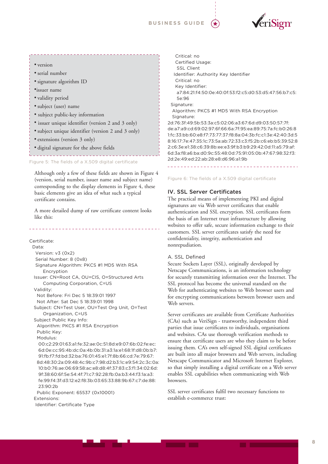**BUSINESS GUIDE**



#### • version

- serial number
- signature algorithm ID
- •issuer name
- validity period
- subject (user) name
- subject public-key information
- issuer unique identifier (version 2 and 3 only)
- subject unique identifier (version 2 and 3 only)
- •extensions (version 3 only)
- digital signature for the above fields

Figure 5: The fields of a X.509 digital certificate

Although only a few of these fields are shown in Figure 4 (version, serial number, issuer name and subject name) corresponding to the display elements in Figure 4, these basic elements give an idea of what such a typical certificate contains.

A more detailed dump of raw certificate content looks like this:

#### Certificate:

Data: Version: v3 (0x2) Serial Number: 8 (0x8) Signature Algorithm: PKCS #1 MD5 With RSA Encryption Issuer: CN=Root CA, OU=CIS, O=Structured Arts Computing Corporation, C=US Validity: Not Before: Fri Dec 5 18:39:01 1997 Not After: Sat Dec 5 18:39:01 1998 Subject: CN=Test User, OU=Test Org Unit, O=Test Organization, C=US Subject Public Key Info: Algorithm: PKCS #1 RSA Encryption Public Key: Modulus: 00:c2:29:01:63:a1:fe:32:ae:0c:51:8d:e9:07:6b:02:fe:ec: 6d:0e:cc:95:4b:dc:0a:4b:0b:31:a3:1a:e1:68:1f:d8:0b:b7: 91:fb:f7:fd:bd:32:ba:76:01:45:e1:7f:8b:66:cd:7e:79:67: 8d:48:30:2a:09:48:4c:9b:c7:98:d2:b3:1c:e9:54:2c:3c:0a: 10:b0:76:ae:06:69:58:ac:e8:d8:4f:37:83:c3:f1:34:02:6d: 9f:38:60:6f:5e:54:4f:71:c7:92:28:fb:0a:b3:44:f3:1a:a3: fe:99:f4:3f:d3:12:e2:f8:3b:03:65:33:88:9b:67:c7:de:88: 23:90:2b

Public Exponent: 65537 (0x10001) Extensions:

Identifier: Certificate Type

Critical: no Certified Usage: SSL Client Identifier: Authority Key Identifier Critical: no Key Identifier: a7:84:21:f4:50:0e:40:0f:53:f2:c5:d0:53:d5:47:56:b7:c5: 5e:96 Signature: Algorithm: PKCS #1 MD5 With RSA Encryption Signature: 2d:76:3f:49:5b:53:3a:c5:02:06:a3:67:6d:d9:03:50:57:7f: de:a7:a9:cd:69:02:97:6f:66:6a:7f:95:ea:89:75:7a:fc:b0:26:8 1:fc:33:bb:60:e8:f7:73:77:37:f8:8a:04:3b:fc:c1:3e:42:40:3d:5

8:16:17:7e:47:35:1c:73:5a:ab:72:33:c3:f5:2b:c6:eb:b5:39:52:8 2:c6:3e:e1:38:c6:39:8b:ee:e3:9f:b3:b9:29:42:0d:11:a5:79:af: 6d:3a:f8:a6:ba:d0:9c:55:48:0d:75:91:05:0b:47:67:98:32:f3: 2d:2e:49:ed:22:ab:28:e8:d6:96:a1:9b

Figure 6: The fields of a X.509 digital certificate

\_\_\_\_\_\_\_\_\_\_\_\_\_\_\_\_\_\_\_\_\_\_\_\_\_\_\_\_\_\_\_\_

#### IV. SSL Server Certificates

The practical means of implementing PKI and digital signatures are via Web server certificates that enable authentication and SSL encryption. SSL certificates form the basis of an Internet trust infrastructure by allowing websites to offer safe, secure information exchange to their customers. SSL server certificates satisfy the need for confidentiality, integrity, authentication and nonrepudiation.

#### A. SSL Defined

Secure Sockets Layer (SSL), originally developed by Netscape Communications, is an information technology for securely transmitting information over the Internet. The SSL protocol has become the universal standard on the Web for authenticating websites to Web browser users and for encrypting communications between browser users and Web servers.

Server certificates are available from Certificate Authorities (CAs) such as VeriSign - trustworthy, independent third parties that issue certificates to individuals, organisations and websites. CAs use thorough verification methods to ensure that certificate users are who they claim to be before issuing them. CA's own self-signed SSL digital certificates are built into all major browsers and Web servers, including Netscape Communicator and Microsoft Internet Explorer, so that simply installing a digital certificate on a Web server enables SSL capabilities when communicating with Web browsers.

SSL server certificates fulfil two necessary functions to establish e-commerce trust: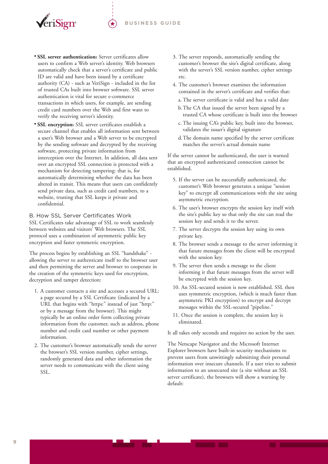

- **SSL server authentication:** Server certificates allow users to confirm a Web server's identity. Web browsers automatically check that a server's certificate and public ID are valid and have been issued by a certificate authority (CA) - such as VeriSign - included in the list of trusted CAs built into browser software. SSL server authentication is vital for secure e-commerce transactions in which users, for example, are sending credit card numbers over the Web and first want to verify the receiving server's identity.
- **SSL encryption:** SSL server certificates establish a secure channel that enables all information sent between a user's Web browser and a Web server to be encrypted by the sending software and decrypted by the receiving software, protecting private information from interception over the Internet. In addition, all data sent over an encrypted SSL connection is protected with a mechanism for detecting tampering: that is, for automatically determining whether the data has been altered in transit. This means that users can confidently send private data, such as credit card numbers, to a website, trusting that SSL keeps it private and confidential.

### B. How SSL Server Certificates Work SSL Certificates take advantage of SSL to work seamlessly between websites and visitors' Web browsers. The SSL

protocol uses a combination of asymmetric public key encryption and faster symmetric encryption.

The process begins by establishing an SSL "handshake" allowing the server to authenticate itself to the browser user and then permitting the server and browser to cooperate in the creation of the symmetric keys used for encryption, decryption and tamper detection:

- 1. A customer contacts a site and accesses a secured URL: a page secured by a SSL Certificate (indicated by a URL that begins with "https:" instead of just "http:" or by a message from the browser). This might typically be an online order form collecting private information from the customer, such as address, phone number and credit card number or other payment information.
- 2. The customer's browser automatically sends the server the browser's SSL version number, cipher settings, randomly generated data and other information the server needs to communicate with the client using SSL.
- 3. The server responds, automatically sending the customer's browser the site's digital certificate, along with the server's SSL version number, cipher settings etc.
- 4. The customer's browser examines the information contained in the server's certificate and verifies that:
	- a. The server certificate is valid and has a valid date
	- b.The CA that issued the server been signed by a trusted CA whose certificate is built into the browser
	- c. The issuing CA's public key, built into the browser, validates the issuer's digital signature
	- d.The domain name specified by the server certificate matches the server's actual domain name

If the server cannot be authenticated, the user is warned that an encrypted authenticated connection cannot be established.

- 5. If the server can be successfully authenticated, the customer's Web browser generates a unique "session key" to encrypt all communications with the site using asymmetric encryption.
- 6. The user's browser encrypts the session key itself with the site's public key so that only the site can read the session key and sends it to the server.
- 7. The server decrypts the session key using its own private key.
- 8. The browser sends a message to the server informing it that future messages from the client will be encrypted with the session key.
- 9. The server then sends a message to the client informing it that future messages from the server will be encrypted with the session key.
- 10. An SSL-secured session is now established. SSL then uses symmetric encryption, (which is much faster than asymmetric PKI encryption) to encrypt and decrypt messages within the SSL-secured "pipeline."
- 11. Once the session is complete, the session key is eliminated.

It all takes only seconds and requires no action by the user.

The Netscape Navigator and the Microsoft Internet Explorer browsers have built-in security mechanisms to prevent users from unwittingly submitting their personal information over insecure channels. If a user tries to submit information to an unsecured site (a site without an SSL server certificate), the browsers will show a warning by default: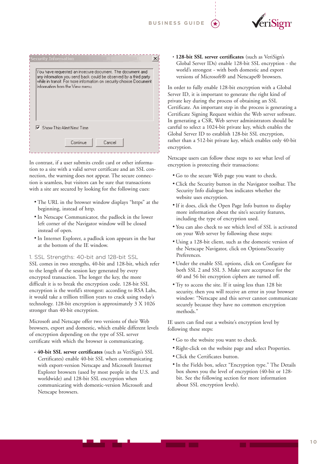

| You have requested an insecure document. The document and<br>any information you send back could be observed by a third party<br>while in transit. For more information on security choose Document<br>Information from the View menu. |  |
|----------------------------------------------------------------------------------------------------------------------------------------------------------------------------------------------------------------------------------------|--|
|                                                                                                                                                                                                                                        |  |
|                                                                                                                                                                                                                                        |  |

In contrast, if a user submits credit card or other information to a site with a valid server certificate and an SSL connection, the warning does not appear. The secure connection is seamless, but visitors can be sure that transactions with a site are secured by looking for the following cues:

- The URL in the browser window displays "https" at the beginning, instead of http.
- In Netscape Communicator, the padlock in the lower left corner of the Navigator window will be closed instead of open.
- In Internet Explorer, a padlock icon appears in the bar at the bottom of the IE window.

1. SSL Strengths: 40-bit and 128-bit SSL SSL comes in two strengths, 40-bit and 128-bit, which refer to the length of the session key generated by every encrypted transaction. The longer the key, the more difficult it is to break the encryption code. 128-bit SSL encryption is the world's strongest: according to RSA Labs, it would take a trillion trillion years to crack using today's technology. 128-bit encryption is approximately 3 X 1026 stronger than 40-bit encryption.

Microsoft and Netscape offer two versions of their Web browsers, export and domestic, which enable different levels of encryption depending on the type of SSL server certificate with which the browser is communicating.

• **40-bit SSL server certificates** (such as VeriSign's SSL Certificates) enable 40-bit SSL when communicating with export-version Netscape and Microsoft Internet Explorer browsers (used by most people in the U.S. and worldwide) and 128-bit SSL encryption when communicating with domestic-version Microsoft and Netscape browsers.

• **128-bit SSL server certificates** (such as VeriSign's Global Server IDs) enable 128-bit SSL encryption - the world's strongest - with both domestic and export versions of Microsoft® and Netscape® browsers.

In order to fully enable 128-bit encryption with a Global Server ID, it is important to generate the right kind of private key during the process of obtaining an SSL Certificate. An important step in the process is generating a Certificate Signing Request within the Web server software. In generating a CSR, Web server administrators should be careful to select a 1024-bit private key, which enables the Global Server ID to establish 128-bit SSL encryption, rather than a 512-bit private key, which enables only 40-bit encryption.

Netscape users can follow these steps to see what level of encryption is protecting their transactions:

- Go to the secure Web page you want to check.
- Click the Security button in the Navigator toolbar. The Security Info dialogue box indicates whether the website uses encryption.
- If it does, click the Open Page Info button to display more information about the site's security features, including the type of encryption used.
- You can also check to see which level of SSL is activated on your Web server by following these steps:
- Using a 128-bit client, such as the domestic version of the Netscape Navigator, click on Options/Security Preferences.
- Under the enable SSL options, click on Configure for both SSL 2 and SSL 3. Make sure acceptance for the 40 and 56 bit encryption ciphers are turned off.
- Try to access the site. If it using less than 128 bit security, then you will receive an error in your browser window: "Netscape and this server cannot communicate securely because they have no common encryption methods."

IE users can find out a website's encryption level by following these steps:

- Go to the website you want to check.
- Right-click on the website page and select Properties.
- Click the Certificates button.
- In the Fields box, select "Encryption type." The Details box shows you the level of encryption (40-bit or 128 bit. See the following section for more information about SSL encryption levels).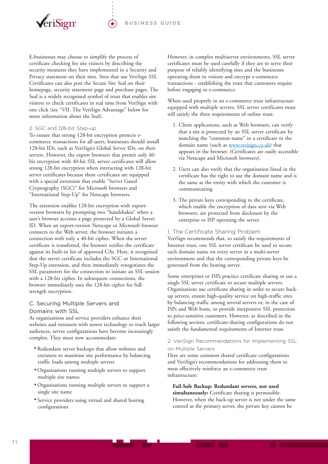



E-businesses may choose to simplify the process of certificate checking for site visitors by describing the security measures they have implemented in a Security and Privacy statement on their sites. Sites that use VeriSign SSL Certificates can also post the Secure Site Seal on their homepage, security statement page and purchase pages. The Seal is a widely recognised symbol of trust that enables site visitors to check certificates in real time from VeriSign with one click (see "VII. The VeriSign Advantage" below for more information about the Seal).

#### 2. SGC and 128-bit Step-up

To ensure that strong 128-bit encryption protects ecommerce transactions for all users, businesses should install 128-bit IDs, such as VeriSign's Global Server IDs, on their servers. However, the export browsers that permit only 40 bit encryption with 40-bit SSL server certificates will allow strong 128-bit encryption when interacting with 128-bit server certificates because these certificates are equipped with a special extension that enable "Server Gated Cryptography (SGC)" for Microsoft browsers and "International Step-Up" for Netscape browsers.

The extension enables 128-bit encryption with exportversion browsers by prompting two "handshakes" when a user's browser accesses a page protected by a Global Server ID. When an export-version Netscape or Microsoft browser connects to the Web server, the browser initiates a connection with only a 40-bit cipher. When the server certificate is transferred, the browser verifies the certificate against its built-in list of approved CAs. Here, it recognised that the server certificate includes the SGC or International Step-Up extension, and then immediately renegotiates the SSL parameters for the connection to initiate an SSL session with a 128-bit cipher. In subsequent connections, the browser immediately uses the 128-bit cipher for fullstrength encryption.

#### C. Securing Multiple Servers and Domains with SSL

As organisations and service providers enhance their websites and extranets with newer technology to reach larger audiences, server configurations have become increasingly complex. They must now accommodate:

- Redundant server backups that allow websites and extranets to maximise site performance by balancing traffic loads among multiple servers
- Organisations running multiple servers to support multiple site names
- Organisations running multiple servers to support a single site name
- Service providers using virtual and shared hosting configurations

However, in complex multiserver environments, SSL server certificates must be used carefully if they are to serve their purpose of reliably identifying sites and the businesses operating them to visitors and encrypt e-commerce transactions - establishing the trust that customers require before engaging in e-commerce.

When used properly in an e-commerce trust infrastructure equipped with multiple servers, SSL server certificates must still satisfy the three requirements of online trust:

- 1. Client applications, such as Web browsers, can verify that a site is protected by an SSL server certificate by matching the "common name" in a certificate to the domain name (such as [www.verisign.co.uk\)](http://www.verisign.co.uk) that appears in the browser. (Certificates are easily accessible via Netscape and Microsoft browsers).
- 2. Users can also verify that the organisation listed in the certificate has the right to use the domain name and is the same as the entity with which the customer is communicating.
- 3. The private keys corresponding to the certificate, which enable the encryption of data sent via Web browsers, are protected from disclosure by the enterprise or ISP operating the server.

#### 1. The Certificate Sharing Problem

VeriSign recommends that, to satisfy the requirements of Internet trust, one SSL server certificate be used to secure each domain name on every server in a multi-server environment and that the corresponding private keys be generated from the hosting server.

Some enterprises or ISPs practice certificate sharing or use a single SSL server certificate to secure multiple servers. Organisations use certificate sharing in order to secure backup servers, ensure high-quality service on high-traffic sites by balancing traffic among several servers or, in the case of ISPs and Web hosts, to provide inexpensive SSL protection to price-sensitive customers. However, as described in the following section, certificate-sharing configurations do not satisfy the fundamental requirements of Internet trust.

#### 2. VeriSign Recommendations for Implementing SSL on Multiple Servers

Here are some common shared certificate configurations and VeriSign's recommendations for addressing them to most effectively reinforce an e-commerce trust infrastructure:

#### **Fail-Safe Backup: Redundant servers, not used simultaneously:** Certificate sharing is permissible. However, when the back-up server is not under the same control as the primary server, the private key cannot be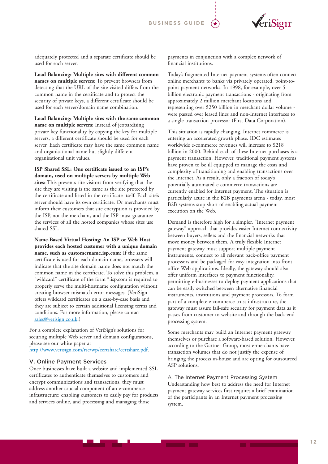

adequately protected and a separate certificate should be used for each server.

**Load Balancing: Multiple sites with different common names on multiple servers:** To prevent browsers from detecting that the URL of the site visited differs from the common name in the certificate and to protect the security of private keys, a different certificate should be used for each server/domain name combination.

**Load Balancing: Multiple sites with the same common name on multiple servers:** Instead of jeopardising private key functionality by copying the key for multiple servers, a different certificate should be used for each server. Each certificate may have the same common name and organisational name but slightly different organisational unit values.

**ISP Shared SSL: One certificate issued to an ISP's domain, used on multiple servers by multiple Web sites:** This prevents site visitors from verifying that the site they are visiting is the same as the site protected by the certificate and listed in the certificate itself. Each site's server should have its own certificate. Or merchants must inform their customers that site encryption is provided by the ISP, not the merchant, and the ISP must guarantee the services of all the hosted companies whose sites use shared SSL.

**Name-Based Virtual Hosting: An ISP or Web Host provides each hosted customer with a unique domain name, such as customername.isp.com:** If the same certificate is used for each domain name, browsers will indicate that the site domain name does not match the common name in the certificate. To solve this problem, a "wildcard" certificate of the form \*.isp.com is required to properly serve the multi-hostname configuration without creating browser mismatch error messages. (VeriSign offers wildcard certificates on a case-by-case basis and they are subject to certain additional licensing terms and conditions. For more information, please contact [sales@verisign.co.uk.\)](mailto:sales@verisign.co.uk)

For a complete explanation of VeriSign's solutions for securing multiple Web server and domain configurations, please see our white paper at [http://www.verisign.com/rsc/wp/certshare/certshare.pdf.](http://www.verisign.com/rsc/wp/certshare/certshare.pdf) 

#### V. Online Payment Services

Once businesses have built a website and implemented SSL certificates to authenticate themselves to customers and encrypt communications and transactions, they must address another crucial component of an e-commerce infrastructure: enabling customers to easily pay for products and services online, and processing and managing those

payments in conjunction with a complex network of financial institutions.

Today's fragmented Internet payment systems often connect online merchants to banks via privately operated, point-topoint payment networks. In 1998, for example, over 5 billion electronic payment transactions - originating from approximately 2 million merchant locations and representing over \$250 billion in merchant dollar volume were passed over leased lines and non-Internet interfaces to a single transaction processor (First Data Corporation).

This situation is rapidly changing. Internet commerce is entering an accelerated growth phase. IDC estimates worldwide e-commerce revenues will increase to \$218 billion in 2000. Behind each of these Internet purchases is a payment transaction. However, traditional payment systems have proven to be ill equipped to manage the costs and complexity of transitioning and enabling transactions over the Internet. As a result, only a fraction of today's potentially automated e-commerce transactions are currently enabled for Internet payment. The situation is particularly acute in the B2B payments arena - today, most B2B systems stop short of enabling actual payment execution on the Web.

Demand is therefore high for a simpler, "Internet payment gateway" approach that provides easier Internet connectivity between buyers, sellers and the financial networks that move money between them. A truly flexible Internet payment gateway must support multiple payment instruments, connect to all relevant back-office payment processors and be packaged for easy integration into frontoffice Web applications. Ideally, the gateway should also offer uniform interfaces to payment functionality, permitting e-businesses to deploy payment applications that can be easily switched between alternative financial instruments, institutions and payment processors. To form part of a complete e-commerce trust infrastructure, the gateway must assure fail-safe security for payment data as it passes from customer to website and through the back-end processing system.

Some merchants may build an Internet payment gateway themselves or purchase a software-based solution. However, according to the Gartner Group, most e-merchants have transaction volumes that do not justify the expense of bringing the process in-house and are opting for outsourced ASP solutions.

A. The Internet Payment Processing System Understanding how best to address the need for Internet payment gateway services first requires a brief examination of the participants in an Internet payment processing system.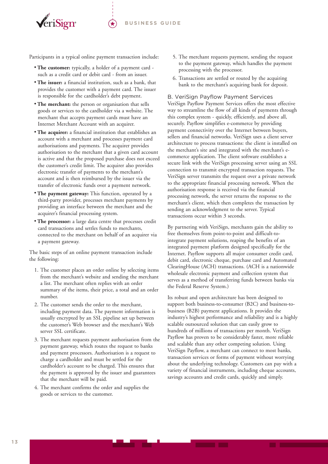

Participants in a typical online payment transaction include:

r<br>eriSign®

- **The customer:** typically, a holder of a payment card such as a credit card or debit card - from an issuer.
- **The issuer:** a financial institution, such as a bank, that provides the customer with a payment card. The issuer is responsible for the cardholder's debt payment.
- **The merchant:** the person or organisation that sells goods or services to the cardholder via a website. The merchant that accepts payment cards must have an Internet Merchant Account with an acquirer.
- **The acquirer:** a financial institution that establishes an account with a merchant and processes payment card authorisations and payments. The acquirer provides authorisation to the merchant that a given card account is active and that the proposed purchase does not exceed the customer's credit limit. The acquirer also provides electronic transfer of payments to the merchant's account and is then reimbursed by the issuer via the transfer of electronic funds over a payment network.
- **The payment gateway:** This function, operated by a third-party provider, processes merchant payments by providing an interface between the merchant and the acquirer's financial processing system.
- **The processor:** a large data centre that processes credit card transactions and settles funds to merchants, connected to the merchant on behalf of an acquirer via a payment gateway.

The basic steps of an online payment transaction include the following:

- 1. The customer places an order online by selecting items from the merchant's website and sending the merchant a list. The merchant often replies with an order summary of the items, their price, a total and an order number.
- 2. The customer sends the order to the merchant, including payment data. The payment information is usually encrypted by an SSL pipeline set up between the customer's Web browser and the merchant's Web server SSL certificate.
- 3. The merchant requests payment authorisation from the payment gateway, which routes the request to banks and payment processors. Authorisation is a request to charge a cardholder and must be settled for the cardholder's account to be charged. This ensures that the payment is approved by the issuer and guarantees that the merchant will be paid.
- 4. The merchant confirms the order and supplies the goods or services to the customer.
- 5. The merchant requests payment, sending the request to the payment gateway, which handles the payment processing with the processor.
- 6. Transactions are settled or routed by the acquiring bank to the merchant's acquiring bank for deposit.

B. VeriSign Payflow Payment Services VeriSign Payflow Payment Services offers the most effective way to streamline the flow of all kinds of payments through this complex system - quickly, efficiently, and above all, securely. Payflow simplifies e-commerce by providing payment connectivity over the Internet between buyers, sellers and financial networks. VeriSign uses a client server architecture to process transactions: the client is installed on the merchant's site and integrated with the merchant's ecommerce application. The client software establishes a secure link with the VeriSign processing server using an SSL connection to transmit encrypted transaction requests. The VeriSign server transmits the request over a private network to the appropriate financial processing network. When the authorisation response is received via the financial processing network, the server returns the response to the merchant's client, which then completes the transaction by sending an acknowledgment to the server. Typical transactions occur within 3 seconds.

By partnering with VeriSign, merchants gain the ability to free themselves from point-to-point and difficult-tointegrate payment solutions, reaping the benefits of an integrated payment platform designed specifically for the Internet. Payflow supports all major consumer credit card, debit card, electronic cheque, purchase card and Automated ClearingHouse (ACH) transactions. (ACH is a nationwide wholesale electronic payment and collection system that serves as a method of transferring funds between banks via the Federal Reserve System.)

Its robust and open architecture has been designed to support both business-to-consumer (B2C) and business-tobusiness (B2B) payment applications. It provides the industry's highest performance and reliability and is a highly scalable outsourced solution that can easily grow to hundreds of millions of transactions per month. VeriSign Payflow has proven to be considerably faster, more reliable and scalable than any other competing solution. Using VeriSign Payflow, a merchant can connect to most banks, transaction services or forms of payment without worrying about the underlying technology. Customers can pay with a variety of financial instruments, including cheque accounts, savings accounts and credit cards, quickly and simply.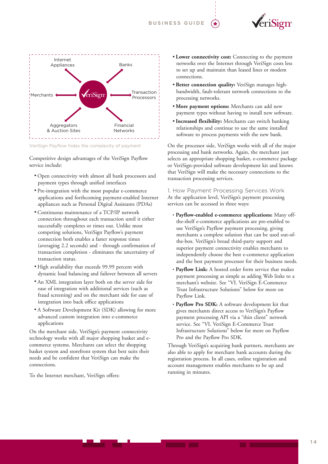



VeriSign Payflow hides the complexity of payment

Competitive design advantages of the VeriSign Payflow service include:

- Open connectivity with almost all bank processors and payment types through unified interfaces
- Pre-integration with the most popular e-commerce applications and forthcoming payment-enabled Internet appliances such as Personal Digital Assistants (PDAs)
- Continuous maintenance of a TCP/IP network connection throughout each transaction until it either successfully completes or times out. Unlike most competing solutions, VeriSign Payflow's payment connection both enables a faster response times (averaging 2.2 seconds) and - through confirmation of transaction completion - eliminates the uncertainty of transaction status.
- High availability that exceeds 99.99 percent with dynamic load balancing and failover between all servers
- An XML integration layer both on the server side for ease of integration with additional services (such as fraud screening) and on the merchant side for ease of integration into back office applications
- A Software Development Kit (SDK) allowing for more advanced custom integration into e-commerce applications

On the merchant side, VeriSign's payment connectivity technology works with all major shopping basket and ecommerce systems. Merchants can select the shopping basket system and storefront system that best suits their needs and be confident that VeriSign can make the connections.

To the Internet merchant, VeriSign offers:

- **Lower connectivity cost:** Connecting to the payment networks over the Internet through VeriSign costs less to set up and maintain than leased lines or modem connections.
- **Better connection quality:** VeriSign manages highbandwidth, fault-tolerant network connections to the processing networks.
- **More payment options:** Merchants can add new payment types without having to install new software.
- **Increased flexibility:** Merchants can switch banking relationships and continue to use the same installed software to process payments with the new bank.

On the processor side, VeriSign works with all of the major processing and bank networks. Again, the merchant just selects an appropriate shopping basket, e-commerce package or VeriSign-provided software development kit and knows that VeriSign will make the necessary connections to the transaction processing services.

1. How Payment Processing Services Work At the application level, VeriSign's payment processing services can be accessed in three ways:

- **Payflow-enabled e-commerce applications:** Many offthe-shelf e-commerce applications are pre-enabled to use VeriSign's Payflow payment processing, giving merchants a complete solution that can be used out-ofthe-box. VeriSign's broad third-party support and superior payment connectivity enables merchants to independently choose the best e-commerce application and the best payment processor for their business needs.
- **Payflow Link:** A hosted order form service that makes payment processing as simple as adding Web links to a merchant's website. See "VI. VeriSign E-Commerce Trust Infrastructure Solutions" below for more on Payflow Link.
- **Payflow Pro SDK:** A software development kit that gives merchants direct access to VeriSign's Payflow payment processing API via a "thin client" network service. See "VI. VeriSign E-Commerce Trust Infrastructure Solutions" below for more on Payflow Pro and the Payflow Pro SDK.

Through VeriSign's acquiring bank partners, merchants are also able to apply for merchant bank accounts during the registration process. In all cases, online registration and account management enables merchants to be up and running in minutes.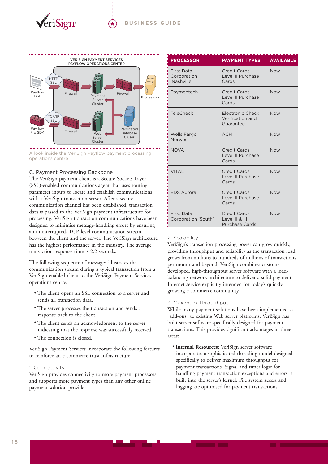



A look inside the VeriSign Payflow payment processing operations centre

#### C. Payment Processing Backbone

The VeriSign payment client is a Secure Sockets Layer (SSL)-enabled communications agent that uses routing parameter inputs to locate and establish communications with a VeriSign transaction server. After a secure communication channel has been established, transaction data is passed to the VeriSign payment infrastructure for processing. VeriSign transaction communications have been designed to minimise message-handling errors by ensuring an uninterrupted, TCP-level communication stream between the client and the server. The VeriSign architecture has the highest performance in the industry. The average transaction response time is 2.2 seconds.

The following sequence of messages illustrates the communication stream during a typical transaction from a VeriSign-enabled client to the VeriSign Payment Services operations centre.

- The client opens an SSL connection to a server and sends all transaction data.
- The server processes the transaction and sends a response back to the client.
- The client sends an acknowledgment to the server indicating that the response was successfully received.
- The connection is closed.

VeriSign Payment Services incorporate the following features to reinforce an e-commerce trust infrastructure:

#### 1. Connectivity

VeriSign provides connectivity to more payment processors and supports more payment types than any other online payment solution provider.

| <b>PROCESSOR</b>                         | <b>PAYMENT TYPES</b>                                           | <b>AVAILABLE</b> |
|------------------------------------------|----------------------------------------------------------------|------------------|
| First Data<br>Corporation<br>'Nashville' | Credit Cards<br>Level II Purchase<br>Cards                     | <b>Now</b>       |
| Paymentech                               | Credit Cards<br>Level II Purchase<br>Cards                     | <b>Now</b>       |
| <b>TeleCheck</b>                         | Electronic Check<br>Verification and<br>Guarantee              | <b>Now</b>       |
| <b>Wells Fargo</b><br>Norwest            | ACH                                                            | <b>Now</b>       |
| <b>NOVA</b>                              | Credit Cards<br>Level II Purchase<br>Cards                     | <b>Now</b>       |
| VITAI                                    | Credit Cards<br>Level II Purchase<br>Cards                     | <b>Now</b>       |
| <b>EDS Aurora</b>                        | Credit Cards<br>Level II Purchase<br>Cards                     | <b>Now</b>       |
| First Data<br>Corporation 'South'        | <b>Credit Cards</b><br>Level II & III<br><b>Purchase Cards</b> | <b>Now</b>       |

#### 2. Scalability

VeriSign's transaction processing power can grow quickly, providing throughput and reliability as the transaction load grows from millions to hundreds of millions of transactions per month and beyond. VeriSign combines customdeveloped, high-throughput server software with a loadbalancing network architecture to deliver a solid payment Internet service explicitly intended for today's quickly growing e-commerce community.

#### 3. Maximum Throughput

While many payment solutions have been implemented as "add-ons" to existing Web server platforms, VeriSign has built server software specifically designed for payment transactions. This provides significant advantages in three areas:

• **Internal Resources:** VeriSign server software incorporates a sophisticated threading model designed specifically to deliver maximum throughput for payment transactions. Signal and timer logic for handling payment transaction exceptions and errors is built into the server's kernel. File system access and logging are optimised for payment transactions.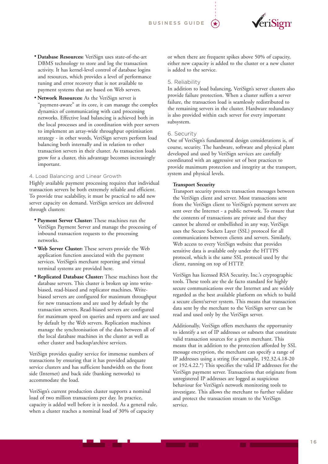

- **Database Resources:** VeriSign uses state-of-the-art DBMS technology to store and log the transaction activity. It has kernel-level control of database logins and resources, which provides a level of performance tuning and error recovery that is not available to payment systems that are based on Web servers.
- **Network Resources:** As the VeriSign server is "payment-aware" at its core, it can manage the complex dynamics of communicating with card processing networks. Effective load balancing is achieved both in the local processes and in coordination with peer servers to implement an array-wide throughput optimisation strategy - in other words, VeriSign servers perform load balancing both internally and in relation to other transaction servers in their cluster. As transaction loads grow for a cluster, this advantage becomes increasingly important.

#### 4. Load Balancing and Linear Growth

Highly available payment processing requires that individual transaction servers be both extremely reliable and efficient. To provide true scalability, it must be practical to add new server capacity on demand. VeriSign services are delivered through clusters:

- **Payment Server Cluster:** These machines run the VeriSign Payment Server and manage the processing of inbound transaction requests to the processing networks.
- **Web Server Cluster:** These servers provide the Web application function associated with the payment services. VeriSign's merchant reporting and virtual terminal systems are provided here.
- **Replicated Database Cluster:** These machines host the database servers. This cluster is broken up into writebiased, read-biased and replicator machines. Writebiased servers are configured for maximum throughput for new transactions and are used by default by the transaction servers. Read-biased servers are configured for maximum speed on queries and reports and are used by default by the Web servers. Replication machines manage the synchronisation of the data between all of the local database machines in the cluster as well as other cluster and backup/archive services.

VeriSign provides quality service for immense numbers of transactions by ensuring that it has provided adequate service clusters and has sufficient bandwidth on the front side (Internet) and back side (banking networks) to accommodate the load.

VeriSign's current production cluster supports a nominal load of two million transactions per day. In practice, capacity is added well before it is needed. As a general rule, when a cluster reaches a nominal load of 30% of capacity

or when there are frequent spikes above 50% of capacity, either new capacity is added to the cluster or a new cluster is added to the service.

#### 5. Reliability

In addition to load balancing, VeriSign's server clusters also provide failure protection. When a cluster suffers a server failure, the transaction load is seamlessly redistributed to the remaining servers in the cluster. Hardware redundancy is also provided within each server for every important subsystem.

#### 6. Security

One of VeriSign's fundamental design considerations is, of course, security. The hardware, software and physical plant developed and used by VeriSign services are carefully coordinated with an aggressive set of best practices to provide maximum protection and integrity at the transport, system and physical levels.

#### **Transport Security**

Transport security protects transaction messages between the VeriSign client and server. Most transactions sent from the VeriSign client to VeriSign's payment servers are sent over the Internet - a public network. To ensure that the contents of transactions are private and that they cannot be altered or embellished in any way, VeriSign uses the Secure Sockets Layer (SSL) protocol for all communications between clients and servers. Similarly, Web access to every VeriSign website that provides sensitive data is available only under the HTTPS protocol, which is the same SSL protocol used by the client, running on top of HTTP.

VeriSign has licensed RSA Security, Inc.'s cryptographic tools. These tools are the de facto standard for highly secure communications over the Internet and are widely regarded as the best available platform on which to build a secure client/server system. This means that transaction data sent by the merchant to the VeriSign server can be read and used only by the VeriSign server.

Additionally, VeriSign offers merchants the opportunity to identify a set of IP addresses or subnets that constitute valid transaction sources for a given merchant. This means that in addition to the protection afforded by SSL message encryption, the merchant can specify a range of IP addresses using a string (for example, 192.32.4.18-20 or 192.4.22.\*) This specifies the valid IP addresses for the VeriSign payment server. Transactions that originate from unregistered IP addresses are logged as suspicious behaviour for VeriSign's network monitoring tools to investigate. This allows the merchant to further validate and protect the transaction stream to the VeriSign service.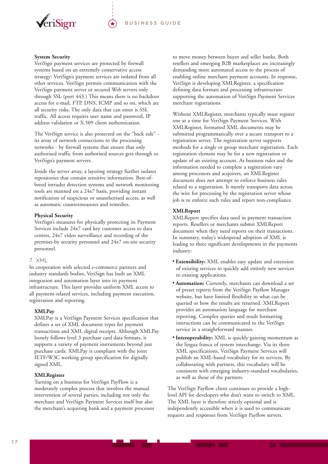

#### **System Security**

VeriSign payment services are protected by firewall systems based on an extremely conservative access strategy: VeriSign's payment services are isolated from all other services. VeriSign permits communication with the VeriSign payment server or secured Web servers only through SSL (port 443.) This means there is no backdoor access for e-mail, FTP, DNS, ICMP and so on, which are all security risks. The only data that can enter is SSL traffic. All access requires user name and password, IP address validation or X.509 client authentication.

The VeriSign service is also protected on the "back side" its array of network connections to the processing networks - by firewall systems that ensure that only authorised traffic from authorised sources gets through to VeriSign's payment servers.

Inside the server array, a layering strategy further isolates repositories that contain sensitive information. Best-ofbreed intruder detection systems and network monitoring tools are manned on a 24x7 basis, providing instant notification of suspicious or unauthorised access, as well as automatic countermeasures and remedies.

#### **Physical Security**

VeriSign's measures for physically protecting its Payment Services include 24x7 card key customer access to data centres, 24x7 video surveillance and recording of the premises by security personnel and 24x7 on-site security personnel.

#### 7. XML

In cooperation with selected e-commerce partners and industry standards bodies, VeriSign has built an XML integration and automation layer into its payment infrastructure. This layer provides uniform XML access to all payment-related services, including payment execution, registration and reporting.

#### **XMLPay**

XMLPay is a VeriSign Payment Services specification that defines a set of XML document types for payment transactions and XML digital receipts. Although XMLPay loosely follows level 3 purchase card data formats, it supports a variety of payment instruments beyond just purchase cards. XMLPay is compliant with the joint IETF/W3C working group specification for digitally signed XML.

#### **XMLRegister**

Turning on a business for VeriSign PayFlow is a moderately complex process that involves the manual intervention of several parties, including not only the merchant and VeriSign Payment Services itself but also the merchant's acquiring bank and a payment processor to move money between buyer and seller banks. Both resellers and emerging B2B marketplaces are increasingly demanding more automated access to the process of enabling online merchant payment accounts. In response, VeriSign is developing XMLRegister, a specification defining data formats and processing infrastructure supporting the automation of VeriSign Payment Services merchant registrations.

Without XMLRegister, merchants typically must register one at a time for VeriSign Payment Services. With XMLRegister, formatted XML documents may be submitted programmatically over a secure transport to a registration server. The registration server supports methods for a single or group merchant registration. Each registration element may be for a new registration or update of an existing account. As business rules and the information needed to complete a registration vary among processors and acquirers, an XMLRegister document does not attempt to enforce business rules related to a registration. It merely transports data across the wire for processing by the registration server whose job is to enforce such rules and report non-compliance.

#### **XMLReport**

XMLReport specifies data used in payment transaction reports. Resellers or merchants submit XMLReport document when they need reports on their transactions. In summary, today's widespread adoption of XML is leading to three significant developments in the payments industry:

- **Extensibility:** XML enables easy update and extension of existing services to quickly add entirely new services to existing applications.
- **Automation:** Currently, merchants can download a set of preset reports from the VeriSign Payflow Manager website, but have limited flexibility in what can be queried or how the results are returned. XMLReport provides an automation language for merchant reporting. Complex queries and result formatting instructions can be communicated to the VeriSign service in a straightforward manner.
- **Interoperability:** XML is quickly gaining momentum as the lingua franca of system interchange. Via its three XML specifications, VeriSign Payment Services will publish an XML-based vocabulary for its services. By collaborating with partners, this vocabulary will be consistent with emerging industry-standard vocabularies, as well as those of the partners.

The VeriSign Payflow client continues to provide a highlevel API for developers who don't want to switch to XML. The XML layer is therefore strictly optional and is independently accessible when it is used to communicate requests and responses from VeriSign Payflow servers.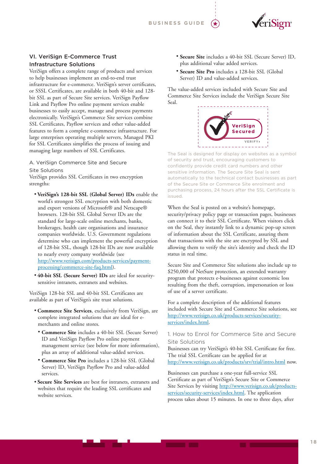

#### VI. VeriSign E-Commerce Trust Infrastructure Solutions

VeriSign offers a complete range of products and services to help businesses implement an end-to-end trust infrastructure for e-commerce. VeriSign's server certificates, or SSSL Certificates, are available in both 40-bit and 128 bit SSL as part of Secure Site services. VeriSign Payflow Link and Payflow Pro online payment services enable businesses to easily accept, manage and process payments electronically. VeriSign's Commerce Site services combine SSL Certificates, Payflow services and other value-added features to form a complete e-commerce infrastructure. For large enterprises operating multiple servers, Managed PKI for SSL Certificates simplifies the process of issuing and managing large numbers of SSL Certificates.

A. VeriSign Commerce Site and Secure

#### Site Solutions

VeriSign provides SSL Certificates in two encryption strengths:

- **VeriSign's 128-bit SSL (Global Server) IDs** enable the world's strongest SSL encryption with both domestic and export versions of Microsoft® and Netscape® browsers. 128-bit SSL Global Server IDs are the standard for large-scale online merchants, banks, brokerages, health care organisations and insurance companies worldwide. U.S. Government regulations determine who can implement the powerful encryption of 128-bit SSL, though 128-bit IDs are now available to nearly every company worldwide (see [http://www.verisign.com/products-services/payment](http://www.verisign.com/products-services/payment-processing/commerce-site-faq.html)processing/commerce-site-faq.html).
- **40-bit SSL (Secure Server) IDs** are ideal for securitysensitive intranets, extranets and websites.

VeriSign 128-bit SSL and 40-bit SSL Certificates are available as part of VeriSign's site trust solutions.

- **Commerce Site Services**, exclusively from VeriSign, are complete integrated solutions that are ideal for emerchants and online stores.
	- **Commerce Site** includes a 40-bit SSL (Secure Server) ID and VeriSign Payflow Pro online payment management service (see below for more information), plus an array of additional value-added services.
	- **Commerce Site Pro** includes a 128-bit SSL (Global Server) ID, VeriSign Payflow Pro and value-added services.
- **Secure Site Services** are best for intranets, extranets and websites that require the leading SSL certificates and website services.
- **Secure Site** includes a 40-bit SSL (Secure Server) ID, plus additional value added services.
- **Secure Site Pro** includes a 128-bit SSL (Global Server) ID and value-added services.

The value-added services included with Secure Site and Commerce Site Services include the VeriSign Secure Site Seal.



The Seal is designed for display on websites as a symbol of security and trust, encouraging customers to confidently provide credit card numbers and other sensitive information. The Secure Site Seal is sent automatically to the technical contact businesses as part of the Secure Site or Commerce Site enrolment and purchasing process, 24 hours after the SSL Certificate is issued.

When the Seal is posted on a website's homepage, security/privacy policy page or transaction pages, businesses can connect it to their SSL Certificate. When visitors click on the Seal, they instantly link to a dynamic pop-up screen of information about the SSL Certificate, assuring them that transactions with the site are encrypted by SSL and allowing them to verify the site's identity and check the ID status in real time.

Secure Site and Commerce Site solutions also include up to \$250,000 of NetSure protection, an extended warranty program that protects e-businesses against economic loss resulting from the theft, corruption, impersonation or loss of use of a server certificate.

For a complete description of the additional features included with Secure Site and Commerce Site solutions, see [http://www.verisign.co.uk/products-services/security](http://www.verisign.co.uk/products-services/security-services/index.html)services/index.html.

#### 1. How to Enrol for Commerce Site and Secure Site Solutions

Businesses can try VeriSign's 40-bit SSL Certificate for free. The trial SSL Certificate can be applied for at <http://www.verisign.co.uk/products/srv/trial/intro.html> now.

Businesses can purchase a one-year full-service SSL Certificate as part of VeriSign's Secure Site or Commerce Site Services by visiting [http://www.verisign.co.uk/products](http://www.verisign.co.uk/products-services/security-services/index.html)[services/security-services/index.html.](http://www.verisign.co.uk/products-services/security-services/index.html) The application process takes about 15 minutes. In one to three days, after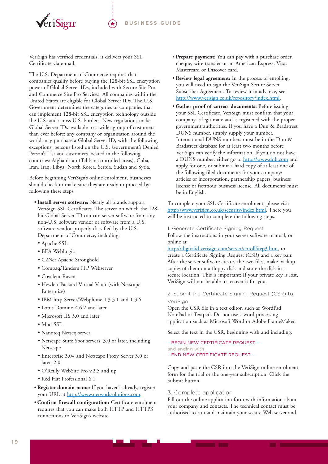

VeriSign has verified credentials, it delivers your SSL Certificate via e-mail.

The U.S. Department of Commerce requires that companies qualify before buying the 128-bit SSL encryption power of Global Server IDs, included with Secure Site Pro and Commerce Site Pro Services. All companies within the United States are eligible for Global Server IDs. The U.S. Government determines the categories of companies that can implement 128-bit SSL encryption technology outside the U.S. and across U.S. borders. New regulations make Global Server IDs available to a wider group of customers than ever before: any company or organisation around the world may purchase a Global Server ID, with the following exceptions: persons listed on the U.S. Government's Denied Person's List and customers located in the following countries: Afghanistan (Taliban-controlled areas), Cuba, Iran, Iraq, Libya, North Korea, Serbia, Sudan and Syria.

Before beginning VeriSign's online enrolment, businesses should check to make sure they are ready to proceed by following these steps:

- **Install server software:** Nearly all brands support VeriSign SSL Certificates. The server on which the 128 bit Global Server ID can run server software from any non-U.S. software vendor or software from a U.S. software vendor properly classified by the U.S. Department of Commerce, including:
- Apache-SSL
- BEA WebLogic
- C2Net Apache Stronghold
- Compaq/Tandem iTP Webserver
- Covalent Raven
- Hewlett Packard Virtual Vault (with Netscape Enterprise)
- IBM http Server/Webphone 1.3.3.1 and 1.3.6
- Lotus Domino 4.6.2 and later
- Microsoft IIS 3.0 and later
- Mod-SSL
- Nanoteq Netseq server
- Netscape Suite Spot servers, 3.0 or later, including Netscape
- Enterprise 3.0+ and Netscape Proxy Server 3.0 or later, 2.0
- O'Reilly WebSite Pro v.2.5 and up
- Red Hat Professional 6.1
- **Register domain name:** If you haven't already, register your URL at [http://www.networksolutions.com.](http://www.networksolutions.com)
- **Confirm firewall configuration:** Certificate enrolment requires that you can make both HTTP and HTTPS connections to VeriSign's website.
- **Prepare payment:** You can pay with a purchase order, cheque, wire transfer or an American Express, Visa, Mastercard or Discover card.
- **Review legal agreement:** In the process of enrolling, you will need to sign the VeriSign Secure Server Subscriber Agreement. To review it in advance, see [http://www.verisign.co.uk/repository/index.html.](http://www.verisign.co.uk/repository/index.html)
- **Gather proof of correct documents:** Before issuing your SSL Certificate, VeriSign must confirm that your company is legitimate and is registered with the proper government authorities. If you have a Dun & Bradstreet DUNS number, simply supply your number. International DUNS numbers must be in the Dun & Bradstreet database for at least two months before VeriSign can verify the information. If you do not have a DUNS number, either go t[o http://www.dnb.com](http://www.dnb.com) and apply for one, or submit a hard copy of at least one of the following filed documents for your company: articles of incorporation, partnership papers, business license or fictitious business license. All documents must be in English.

To complete your SSL Certificate enrolment, please visit [http://www.verisign.co.uk/security/index.html.](http://www.verisign.co.uk/security/index.html) There you will be instructed to complete the following steps.

#### 1. Generate Certificate Signing Request

Follow the instructions in your server software manual, or online at

[http://digitalid.verisign.com/server/enrollStep3.htm,](http://digitalid.verisign.com/server/enrollStep3.htm) to create a Certificate Signing Request (CSR) and a key pair. After the server software creates the two files, make backup copies of them on a floppy disk and store the disk in a secure location. This is important: If your private key is lost, VeriSign will not be able to recover it for you.

2. Submit the Certificate Signing Request (CSR) to VeriSign

Open the CSR file in a text editor, such as WordPad, NotePad or Textpad. Do not use a word processing application such as Microsoft Word or Adobe FrameMaker.

Select the text in the CSR, beginning with and including:

--BEGIN NEW CERTIFICATE REQUEST- and ending with --END NEW CERTIFICATE REQUEST--

Copy and paste the CSR into the VeriSign online enrolment form for the trial or the one-year subscription. Click the Submit button.

#### 3. Complete application

Fill out the online application form with information about your company and contacts. The technical contact must be authorised to run and maintain your secure Web server and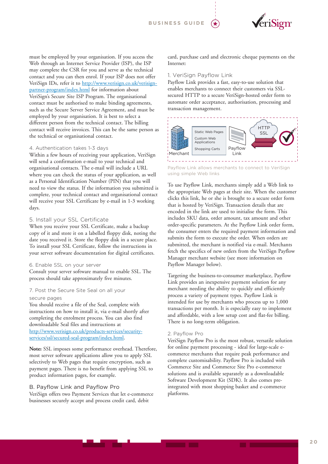

must be employed by your organisation. If you access the Web through an Internet Service Provider (ISP), the ISP may complete the CSR for you and serve as the technical contact and you can then enrol. If your ISP does not offer VeriSign IDs, refer it to [http://www.verisign.co.uk/verisign](http://www.verisign.co.uk/verisign-partner-program/index.html)[partner-program/index.html](http://www.verisign.co.uk/verisign-partner-program/index.html) for information about VeriSign's Secure Site ISP Program. The organisational contact must be authorised to make binding agreements, such as the Secure Server Service Agreement, and must be employed by your organisation. It is best to select a different person from the technical contact. The billing contact will receive invoices. This can be the same person as the technical or organisational contact.

#### 4. Authentication takes 1-3 days

Within a few hours of receiving your application, VeriSign will send a confirmation e-mail to your technical and organisational contacts. The e-mail will include a URL where you can check the status of your application, as well as a Personal Identification Number (PIN) that you will need to view the status. If the information you submitted is complete, your technical contact and organisational contact will receive your SSL Certificate by e-mail in 1-3 working days.

#### 5. Install your SSL Certificate

When you receive your SSL Certificate, make a backup copy of it and store it on a labelled floppy disk, noting the date you received it. Store the floppy disk in a secure place. To install your SSL Certificate, follow the instructions in your server software documentation for digital certificates.

#### 6. Enable SSL on your server

Consult your server software manual to enable SSL. The process should take approximately five minutes.

#### 7. Post the Secure Site Seal on all your

#### secure pages

You should receive a file of the Seal, complete with instructions on how to install it, via e-mail shortly after completing the enrolment process. You can also find downloadable Seal files and instructions at [http://www.verisign.co.uk/products-services/security](http://www.verisign.co.uk/products-services/security-services/ssl/secured-seal-program/index.html)services/ssl/secured-seal-program/index.html.

**Note:** SSL imposes some performance overhead. Therefore, most server software applications allow you to apply SSL selectively to Web pages that require encryption, such as payment pages. There is no benefit from applying SSL to product information pages, for example.

#### B. Payflow Link and Payflow Pro

VeriSign offers two Payment Services that let e-commerce businesses securely accept and process credit card, debit

card, purchase card and electronic cheque payments on the Internet:

#### 1. VeriSign Payflow Link

Payflow Link provides a fast, easy-to-use solution that enables merchants to connect their customers via SSLsecured HTTP to a secure VeriSign-hosted order form to automate order acceptance, authorisation, processing and transaction management.



Payflow Link allows merchants to connect to VeriSign using simple Web links

To use Payflow Link, merchants simply add a Web link to the appropriate Web pages at their site. When the customer clicks this link, he or she is brought to a secure order form that is hosted by VeriSign. Transaction details that are encoded in the link are used to initialise the form. This includes SKU data, order amount, tax amount and other order-specific parameters. At the Payflow Link order form, the consumer enters the required payment information and submits the form to execute the order. When orders are submitted, the merchant is notified via e-mail. Merchants fetch the specifics of new orders from the VeriSign Payflow Manager merchant website (see more information on Payflow Manager below).

Targeting the business-to-consumer marketplace, Payflow Link provides an inexpensive payment solution for any merchant needing the ability to quickly and efficiently process a variety of payment types. Payflow Link is intended for use by merchants who process up to 1,000 transactions per month. It is especially easy to implement and affordable, with a low setup cost and flat-fee billing. There is no long-term obligation.

#### 2. Payflow Pro

VeriSign Payflow Pro is the most robust, versatile solution for online payment processing - ideal for large-scale ecommerce merchants that require peak performance and complete customisability. Payflow Pro is included with Commerce Site and Commerce Site Pro e-commerce solutions and is available separately as a downloadable Software Development Kit (SDK). It also comes preintegrated with most shopping basket and e-commerce platforms.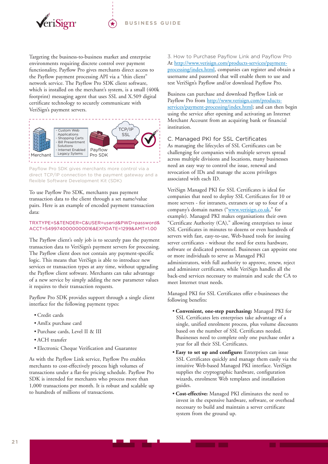#### **BUSINESS GUIDE**



Targeting the business-to-business market and enterprise environments requiring discrete control over payment functionality, Payflow Pro gives merchants direct access to the Payflow payment processing API via a "thin client" network service. The Payflow Pro SDK client software, which is installed on the merchant's system, is a small (400k footprint) messaging agent that uses SSL and X.509 digital certificate technology to securely communicate with VeriSign's payment servers.



Payflow Pro SDK gives merchants more control via a direct TCP/IP connection to the payment gateway and a flexible Software Development Kit (SDK)

To use Payflow Pro SDK, merchants pass payment transaction data to the client through a set name/value pairs. Here is an example of encoded payment transaction data:

#### TRXTYPE=S&TENDER=C&USER=userid&PWD=password& ACCT=5499740000000016&EXPDATE=1299&AMT=1.00

The Payflow client's only job is to securely pass the payment transaction data to VeriSign's payment servers for processing. The Payflow client does not contain any payment-specific logic. This means that VeriSign is able to introduce new services or transaction types at any time, without upgrading the Payflow client software. Merchants can take advantage of a new service by simply adding the new parameter values it requires to their transaction requests.

Payflow Pro SDK provides support through a single client interface for the following payment types:

- Credit cards
- AmEx purchase card
- Purchase cards, Level II & III
- ACH transfer
- Electronic Cheque Verification and Guarantee

As with the Payflow Link service, Payflow Pro enables merchants to cost-effectively process high volumes of transactions under a flat-fee pricing schedule. Payflow Pro SDK is intended for merchants who process more than 1,000 transactions per month. It is robust and scalable up to hundreds of millions of transactions.

3. How to Purchase Payflow Link and Payflow Pro A[t http://www.verisign.com/products-services/payment](http://www.verisign.com/products-services/payment-processing/index.html)[processing/index.html,](http://www.verisign.com/products-services/payment-processing/index.html) companies can register and obtain a username and password that will enable them to use and test VeriSign's Payflow and/or download Payflow Pro.

Business can purchase and download Payflow Link or Payflow Pro from [http://www.verisign.com/products](http://www.verisign.com/products-services/payment-processing/index.html)[services/payment-processing/index.html;](http://www.verisign.com/products-services/payment-processing/index.html) and can then begin using the service after opening and activating an Internet Merchant Account from an acquiring bank or financial institution.

#### C. Managed PKI for SSL Certificates

As managing the lifecycles of SSL Certificates can be challenging for companies with multiple servers spread across multiple divisions and locations, many businesses need an easy way to control the issue, renewal and revocation of IDs and manage the access privileges associated with each ID.

VeriSign Managed PKI for SSL Certificates is ideal for companies that need to deploy SSL Certificates for 10 or more servers - for intranets, extranets or up to four of a company's domain names [\("www.verisign.co.uk,"](http://www.verisign.co.uk) for example). Managed PKI makes organisations their own "Certificate Authority (CA)," allowing enterprises to issue SSL Certificates in minutes to dozens or even hundreds of servers with fast, easy-to-use, Web-based tools for issuing server certificates - without the need for extra hardware, software or dedicated personnel. Businesses can appoint one or more individuals to serve as Managed PKI administrators, with full authority to approve, renew, reject and administer certificates, while VeriSign handles all the back-end services necessary to maintain and scale the CA to meet Internet trust needs.

Managed PKI for SSL Certificates offer e-businesses the following benefits:

- **Convenient, one-step purchasing:** Managed PKI for SSL Certificates lets enterprises take advantage of a single, unified enrolment process, plus volume discounts based on the number of SSL Certificates needed. Businesses need to complete only one purchase order a year for all their SSL Certificates.
- **Easy to set up and configure:** Enterprises can issue SSL Certificates quickly and manage them easily via the intuitive Web-based Managed PKI interface. VeriSign supplies the cryptographic hardware, configuration wizards, enrolment Web templates and installation guides.
- **Cost-effective:** Managed PKI eliminates the need to invest in the expensive hardware, software, or overhead necessary to build and maintain a server certificate system from the ground up.